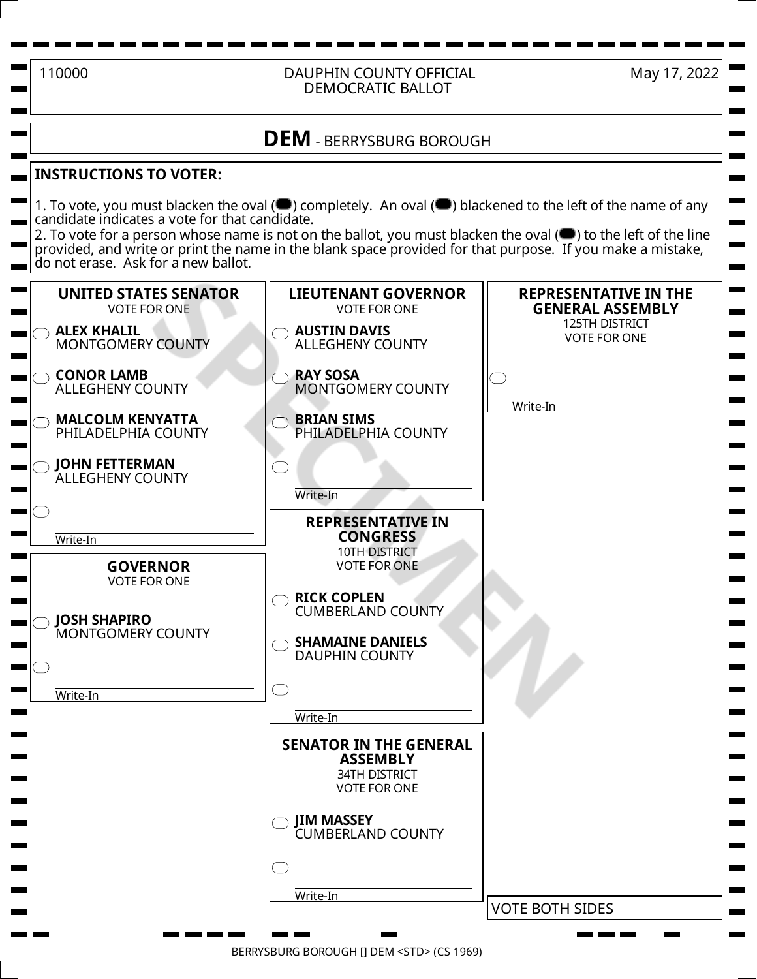## 110000 DAUPHIN COUNTY OFFICIAL DEMOCRATIC BALLOT

May 17, 2022

## **DEM** - BERRYSBURG BOROUGH

## **INSTRUCTIONS TO VOTER:**

1. To vote, you must blacken the oval (●) completely. An oval (●) blackened to the left of the name of any candidate indicates a vote for that candidate.

2. To vote for a person whose name is not on the ballot, you must blacken the oval ( $\blacksquare$ ) to the left of the line provided, and write or print the name in the blank space provided for that purpose. If you make a mistake, do not erase. Ask for a new ballot.

| <b>UNITED STATES SENATOR</b><br><b>VOTE FOR ONE</b> | <b>LIEUTENANT GOVERNOR</b><br><b>VOTE FOR ONE</b>                                               | <b>REPRESENTATIVE IN THE</b><br><b>GENERAL ASSEMBLY</b> |
|-----------------------------------------------------|-------------------------------------------------------------------------------------------------|---------------------------------------------------------|
| <b>ALEX KHALIL</b><br><b>MONTGOMERY COUNTY</b>      | <b>AUSTIN DAVIS</b><br><b>ALLEGHENY COUNTY</b>                                                  | 125TH DISTRICT<br><b>VOTE FOR ONE</b>                   |
| <b>CONOR LAMB</b><br><b>ALLEGHENY COUNTY</b>        | <b>RAY SOSA</b><br><b>MONTGOMERY COUNTY</b>                                                     |                                                         |
| <b>MALCOLM KENYATTA</b><br>PHILADELPHIA COUNTY      | <b>BRIAN SIMS</b><br>PHILADELPHIA COUNTY                                                        | Write-In                                                |
| <b>JOHN FETTERMAN</b><br>ALLEGHENY COUNTY           |                                                                                                 |                                                         |
|                                                     | Write-In<br><b>REPRESENTATIVE IN</b><br><b>CONGRESS</b>                                         |                                                         |
| Write-In                                            | 10TH DISTRICT                                                                                   |                                                         |
| <b>GOVERNOR</b><br><b>VOTE FOR ONE</b>              | <b>VOTE FOR ONE</b>                                                                             |                                                         |
|                                                     | <b>RICK COPLEN</b>                                                                              |                                                         |
| <b>JOSH SHAPIRO</b>                                 | <b>CUMBERLAND COUNTY</b>                                                                        |                                                         |
| MONTGOMERY COUNTY                                   | <b>SHAMAINE DANIELS</b><br><b>DAUPHIN COUNTY</b>                                                |                                                         |
|                                                     |                                                                                                 |                                                         |
| Write-In                                            |                                                                                                 |                                                         |
|                                                     | Write-In                                                                                        |                                                         |
|                                                     | <b>SENATOR IN THE GENERAL</b><br><b>ASSEMBLY</b><br><b>34TH DISTRICT</b><br><b>VOTE FOR ONE</b> |                                                         |
|                                                     | <b>JIM MASSEY</b><br><b>CUMBERLAND COUNTY</b>                                                   |                                                         |
|                                                     |                                                                                                 |                                                         |
|                                                     | Write-In                                                                                        |                                                         |
|                                                     |                                                                                                 | <b>VOTE BOTH SIDES</b>                                  |